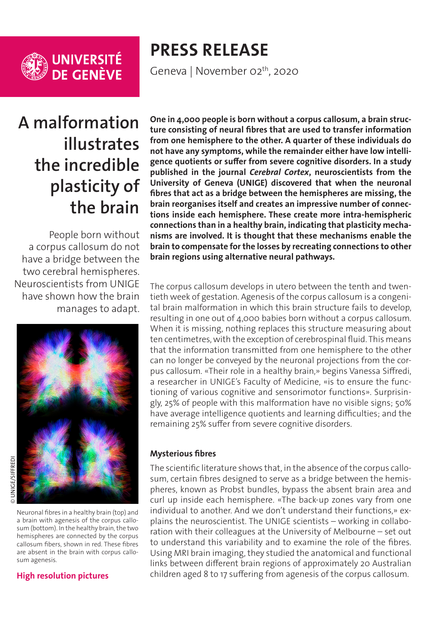

**UNIVERSITÉ<br>DE GENÈVE** 

# **PRESS RELEASE** Geneva | November 02<sup>th</sup>, 2020

**A malformation illustrates the incredible plasticity of the brain**

People born without a corpus callosum do not have a bridge between the two cerebral hemispheres. Neuroscientists from UNIGE have shown how the brain manages to adapt.



Neuronal fibres in a healthy brain (top) and a brain with agenesis of the corpus callosum (bottom). In the healthy brain, the two hemispheres are connected by the corpus callosum fibers, shown in red. These fibres are absent in the brain with corpus callosum agenesis.

#### **[High resolution pictures](https://phototheque.unige.ch/documents/facets?newFacet=subjectFacet%3DCdP_201102_Siffredi)**

**One in 4,000 people is born without a corpus callosum, a brain structure consisting of neural fibres that are used to transfer information from one hemisphere to the other. A quarter of these individuals do not have any symptoms, while the remainder either have low intelligence quotients or suffer from severe cognitive disorders. In a study published in the journal** *Cerebral Cortex***, neuroscientists from the University of Geneva (UNIGE) discovered that when the neuronal fibres that act as a bridge between the hemispheres are missing, the brain reorganises itself and creates an impressive number of connections inside each hemisphere. These create more intra-hemispheric connections than in a healthy brain, indicating that plasticity mechanisms are involved. It is thought that these mechanisms enable the brain to compensate for the losses by recreating connections to other brain regions using alternative neural pathways.**

The corpus callosum develops in utero between the tenth and twentieth week of gestation. Agenesis of the corpus callosum is a congenital brain malformation in which this brain structure fails to develop, resulting in one out of 4,000 babies born without a corpus callosum. When it is missing, nothing replaces this structure measuring about ten centimetres, with the exception of cerebrospinal fluid. This means that the information transmitted from one hemisphere to the other can no longer be conveyed by the neuronal projections from the corpus callosum. «Their role in a healthy brain,» begins Vanessa Siffredi, a researcher in UNIGE's Faculty of Medicine, «is to ensure the functioning of various cognitive and sensorimotor functions». Surprisingly, 25% of people with this malformation have no visible signs; 50% have average intelligence quotients and learning difficulties; and the remaining 25% suffer from severe cognitive disorders.

#### **Mysterious fibres**

The scientific literature shows that, in the absence of the corpus callosum, certain fibres designed to serve as a bridge between the hemispheres, known as Probst bundles, bypass the absent brain area and curl up inside each hemisphere. «The back-up zones vary from one individual to another. And we don't understand their functions,» explains the neuroscientist. The UNIGE scientists – working in collaboration with their colleagues at the University of Melbourne – set out to understand this variability and to examine the role of the fibres. Using MRI brain imaging, they studied the anatomical and functional links between different brain regions of approximately 20 Australian children aged 8 to 17 suffering from agenesis of the corpus callosum.